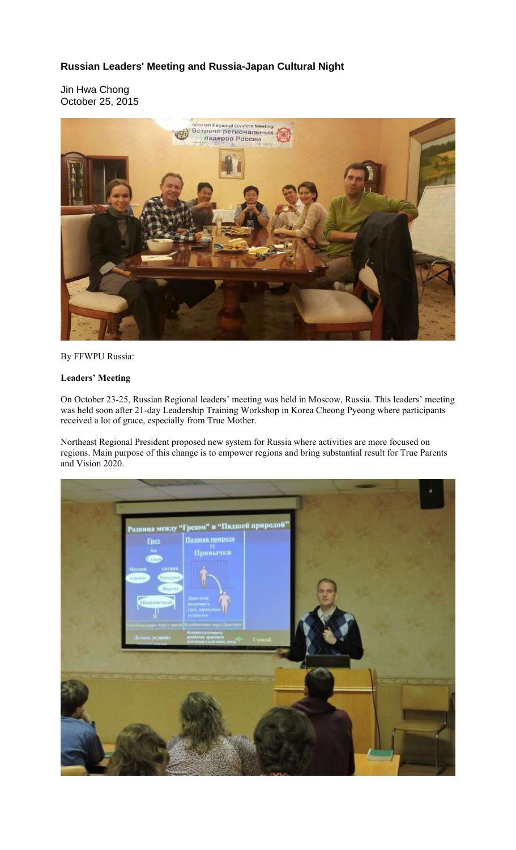## **Russian Leaders' Meeting and Russia-Japan Cultural Night**

Jin Hwa Chong October 25, 2015



By FFWPU Russia:

## **Leaders' Meeting**

On October 23-25, Russian Regional leaders' meeting was held in Moscow, Russia. This leaders' meeting was held soon after 21-day Leadership Training Workshop in Korea Cheong Pyeong where participants received a lot of grace, especially from True Mother.

Northeast Regional President proposed new system for Russia where activities are more focused on regions. Main purpose of this change is to empower regions and bring substantial result for True Parents and Vision 2020.

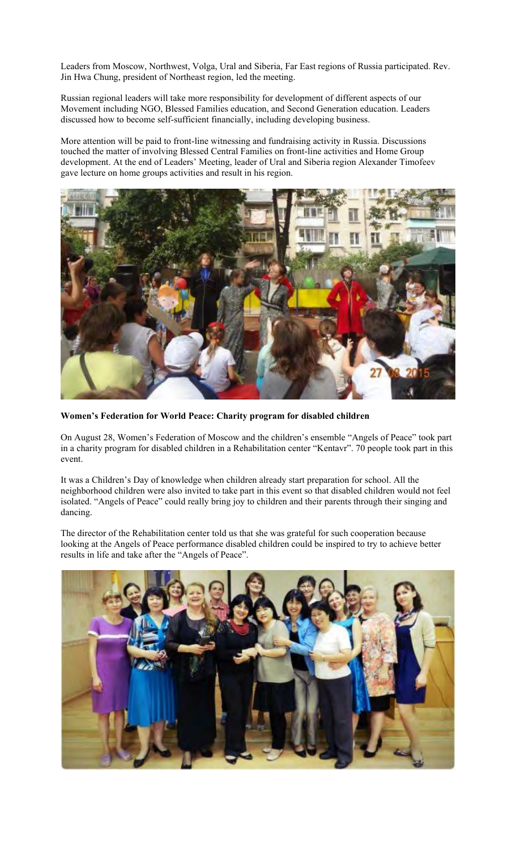Leaders from Moscow, Northwest, Volga, Ural and Siberia, Far East regions of Russia participated. Rev. Jin Hwa Chung, president of Northeast region, led the meeting.

Russian regional leaders will take more responsibility for development of different aspects of our Movement including NGO, Blessed Families education, and Second Generation education. Leaders discussed how to become self-sufficient financially, including developing business.

More attention will be paid to front-line witnessing and fundraising activity in Russia. Discussions touched the matter of involving Blessed Central Families on front-line activities and Home Group development. At the end of Leaders' Meeting, leader of Ural and Siberia region Alexander Timofeev gave lecture on home groups activities and result in his region.



**Women's Federation for World Peace: Charity program for disabled children**

On August 28, Women's Federation of Moscow and the children's ensemble "Angels of Peace" took part in a charity program for disabled children in a Rehabilitation center "Kentavr". 70 people took part in this event.

It was a Children's Day of knowledge when children already start preparation for school. All the neighborhood children were also invited to take part in this event so that disabled children would not feel isolated. "Angels of Peace" could really bring joy to children and their parents through their singing and dancing.

The director of the Rehabilitation center told us that she was grateful for such cooperation because looking at the Angels of Peace performance disabled children could be inspired to try to achieve better results in life and take after the "Angels of Peace".